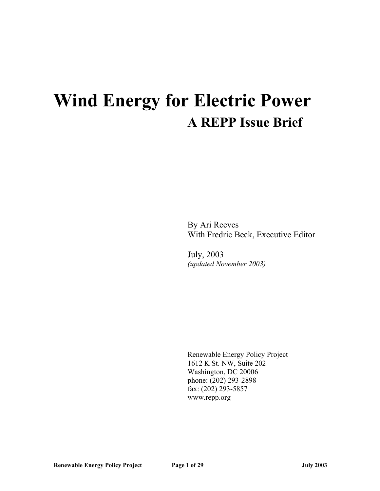# **Wind Energy for Electric Power A REPP Issue Brief**

By Ari Reeves With Fredric Beck, Executive Editor

July, 2003 *(updated November 2003)*

Renewable Energy Policy Project 1612 K St. NW, Suite 202 Washington, DC 20006 phone: (202) 293-2898 fax: (202) 293-5857 www.repp.org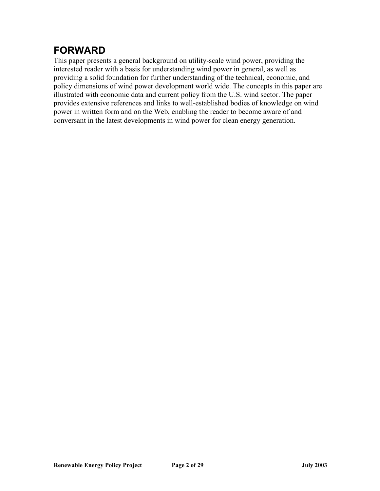# **FORWARD**

This paper presents a general background on utility-scale wind power, providing the interested reader with a basis for understanding wind power in general, as well as providing a solid foundation for further understanding of the technical, economic, and policy dimensions of wind power development world wide. The concepts in this paper are illustrated with economic data and current policy from the U.S. wind sector. The paper provides extensive references and links to well-established bodies of knowledge on wind power in written form and on the Web, enabling the reader to become aware of and conversant in the latest developments in wind power for clean energy generation.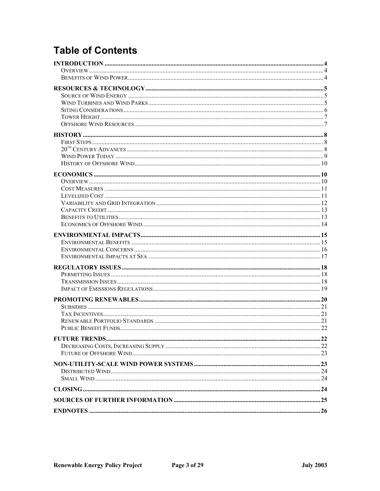# **Table of Contents**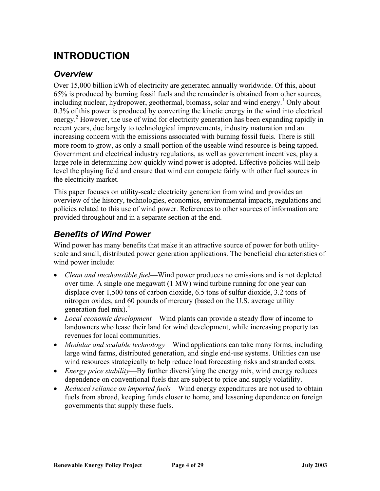# <span id="page-3-0"></span>**INTRODUCTION**

#### *Overview*

Over 15,000 billion kWh of electricity are generated annually worldwide. Of this, about 65% is produced by burning fossil fuels and the remainder is obtained from other sources, including nuclear, hydropower, geothermal, biomass, solar and wind energy.<sup>[1](#page-28-0)</sup> Only about 0.3% of this power is produced by converting the kinetic energy in the wind into electrical energy.<sup>2</sup> However, the use of wind for electricity generation has been expanding rapidly in recent years, due largely to technological improvements, industry maturation and an increasing concern with the emissions associated with burning fossil fuels. There is still more room to grow, as only a small portion of the useable wind resource is being tapped. Government and electrical industry regulations, as well as government incentives, play a large role in determining how quickly wind power is adopted. Effective policies will help level the playing field and ensure that wind can compete fairly with other fuel sources in the electricity market.

This paper focuses on utility-scale electricity generation from wind and provides an overview of the history, technologies, economics, environmental impacts, regulations and policies related to this use of wind power. References to other sources of information are provided throughout and in a separate section at the end.

#### *Benefits of Wind Power*

Wind power has many benefits that make it an attractive source of power for both utilityscale and small, distributed power generation applications. The beneficial characteristics of wind power include:

- *Clean and inexhaustible fuel*—Wind power produces no emissions and is not depleted over time. A single one megawatt (1 MW) wind turbine running for one year can displace over 1,500 tons of carbon dioxide, 6.5 tons of sulfur dioxide, 3.2 tons of nitrogen oxides, and 60 pounds of mercury (based on the U.S. average utility generation fuel mix). $3$
- *Local economic development*—Wind plants can provide a steady flow of income to landowners who lease their land for wind development, while increasing property tax revenues for local communities.
- *Modular and scalable technology*—Wind applications can take many forms, including large wind farms, distributed generation, and single end-use systems. Utilities can use wind resources strategically to help reduce load forecasting risks and stranded costs.
- *Energy price stability*—By further diversifying the energy mix, wind energy reduces dependence on conventional fuels that are subject to price and supply volatility.
- *Reduced reliance on imported fuels*—Wind energy expenditures are not used to obtain fuels from abroad, keeping funds closer to home, and lessening dependence on foreign governments that supply these fuels.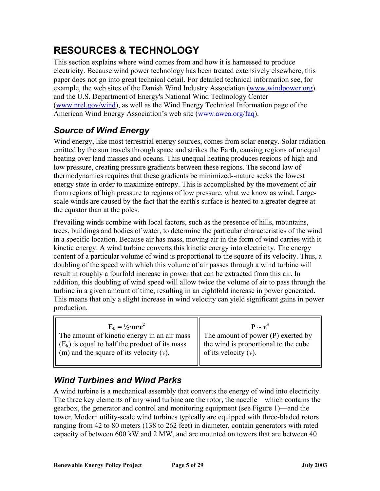# <span id="page-4-0"></span>**RESOURCES & TECHNOLOGY**

This section explains where wind comes from and how it is harnessed to produce electricity. Because wind power technology has been treated extensively elsewhere, this paper does not go into great technical detail. For detailed technical information see, for example, the web sites of the Danish Wind Industry Association (www.windpower.org) and the U.S. Department of Energy's National Wind Technology Center [\(www.nrel.gov/wind](http://www.nrel.gov/wind/)), as well as the Wind Energy Technical Information page of the American Wind Energy Association's web site (www.awea.org/faq).

### *Source of Wind Energy*

Wind energy, like most terrestrial energy sources, comes from solar energy. Solar radiation emitted by the sun travels through space and strikes the Earth, causing regions of unequal heating over land masses and oceans. This unequal heating produces regions of high and low pressure, creating pressure gradients between these regions. The second law of thermodynamics requires that these gradients be minimized--nature seeks the lowest energy state in order to maximize entropy. This is accomplished by the movement of air from regions of high pressure to regions of low pressure, what we know as wind. Largescale winds are caused by the fact that the earth's surface is heated to a greater degree at the equator than at the poles.

Prevailing winds combine with local factors, such as the presence of hills, mountains, trees, buildings and bodies of water, to determine the particular characteristics of the wind in a specific location. Because air has mass, moving air in the form of wind carries with it kinetic energy. A wind turbine converts this kinetic energy into electricity. The energy content of a particular volume of wind is proportional to the square of its velocity. Thus, a doubling of the speed with which this volume of air passes through a wind turbine will result in roughly a fourfold increase in power that can be extracted from this air. In addition, this doubling of wind speed will allow twice the volume of air to pass through the turbine in a given amount of time, resulting in an eightfold increase in power generated. This means that only a slight increase in wind velocity can yield significant gains in power production.

| $E_k = \frac{1}{2}$ ·m· $v^2$                                                                                                                                                | ${\bf P} \sim v^3$                                                                                           |
|------------------------------------------------------------------------------------------------------------------------------------------------------------------------------|--------------------------------------------------------------------------------------------------------------|
| The amount of kinetic energy in an air mass<br>$\parallel$ (E <sub>k</sub> ) is equal to half the product of its mass<br>$\parallel$ (m) and the square of its velocity (v). | The amount of power $(P)$ exerted by<br>the wind is proportional to the cube<br>Ш<br>of its velocity $(v)$ . |

### *Wind Turbines and Wind Parks*

A wind turbine is a mechanical assembly that converts the energy of wind into electricity. The three key elements of any wind turbine are the rotor, the nacelle—which contains the gearbox, the generator and control and monitoring equipment (see Figure 1)—and the tower. Modern utility-scale wind turbines typically are equipped with three-bladed rotors ranging from 42 to 80 meters (138 to 262 feet) in diameter, contain generators with rated capacity of between 600 kW and 2 MW, and are mounted on towers that are between 40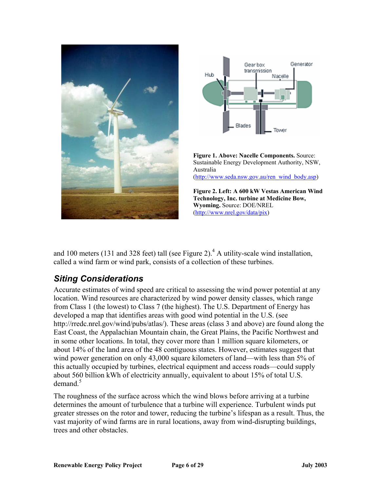<span id="page-5-0"></span>



**Figure 1. Above: Nacelle Components.** Source: Sustainable Energy Development Authority, NSW, Australia ([http://www.seda.nsw.gov.au/ren\\_wind\\_body.asp\)](http://www.seda.nsw.gov.au/ren_wind_body.asp)

**Figure 2. Left: A 600 kW Vestas American Wind Technology, Inc. turbine at Medicine Bow, Wyoming.** Source: DOE/NREL ([http://www.nrel.gov/data/pix\)](http://www.nrel.gov/data/pix)

and 100 meters (131 and 328 feet) tall (see Figure 2).<sup>[4](#page-28-3)</sup> A utility-scale wind installation, called a wind farm or wind park, consists of a collection of these turbines.

#### *Siting Considerations*

Accurate estimates of wind speed are critical to assessing the wind power potential at any location. Wind resources are characterized by wind power density classes, which range from Class 1 (the lowest) to Class 7 (the highest). The U.S. Department of Energy has developed a map that identifies areas with good wind potential in the U.S. (see http://rredc.nrel.gov/wind/pubs/atlas/). These areas (class 3 and above) are found along the East Coast, the Appalachian Mountain chain, the Great Plains, the Pacific Northwest and in some other locations. In total, they cover more than 1 million square kilometers, or about 14% of the land area of the 48 contiguous states. However, estimates suggest that wind power generation on only 43,000 square kilometers of land—with less than 5% of this actually occupied by turbines, electrical equipment and access roads—could supply about 560 billion kWh of electricity annually, equivalent to about 15% of total U.S. demand. $5$ 

The roughness of the surface across which the wind blows before arriving at a turbine determines the amount of turbulence that a turbine will experience. Turbulent winds put greater stresses on the rotor and tower, reducing the turbine's lifespan as a result. Thus, the vast majority of wind farms are in rural locations, away from wind-disrupting buildings, trees and other obstacles.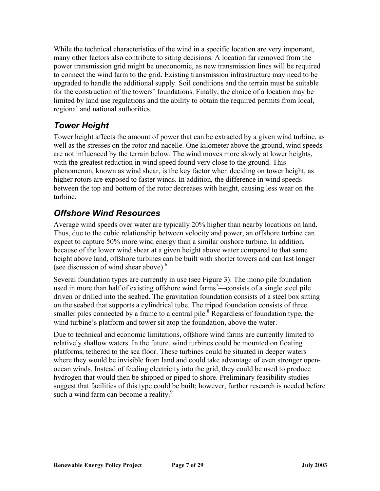<span id="page-6-0"></span>While the technical characteristics of the wind in a specific location are very important, many other factors also contribute to siting decisions. A location far removed from the power transmission grid might be uneconomic, as new transmission lines will be required to connect the wind farm to the grid. Existing transmission infrastructure may need to be upgraded to handle the additional supply. Soil conditions and the terrain must be suitable for the construction of the towers' foundations. Finally, the choice of a location may be limited by land use regulations and the ability to obtain the required permits from local, regional and national authorities.

#### *Tower Height*

Tower height affects the amount of power that can be extracted by a given wind turbine, as well as the stresses on the rotor and nacelle. One kilometer above the ground, wind speeds are not influenced by the terrain below. The wind moves more slowly at lower heights, with the greatest reduction in wind speed found very close to the ground. This phenomenon, known as wind shear, is the key factor when deciding on tower height, as higher rotors are exposed to faster winds. In addition, the difference in wind speeds between the top and bottom of the rotor decreases with height, causing less wear on the turbine.

### *Offshore Wind Resources*

Average wind speeds over water are typically 20% higher than nearby locations on land. Thus, due to the cubic relationship between velocity and power, an offshore turbine can expect to capture 50% more wind energy than a similar onshore turbine. In addition, because of the lower wind shear at a given height above water compared to that same height above land, offshore turbines can be built with shorter towers and can last longer (see discussion of wind shear above). $6\overline{6}$ 

Several foundation types are currently in use (see Figure 3). The mono pile foundation— used in more than half of existing offshore wind farms<sup>[7](#page-28-6)</sup>—consists of a single steel pile driven or drilled into the seabed. The gravitation foundation consists of a steel box sitting on the seabed that supports a cylindrical tube. The tripod foundation consists of three smaller piles connected by a frame to a central pile. $8$  Regardless of foundation type, the wind turbine's platform and tower sit atop the foundation, above the water.

Due to technical and economic limitations, offshore wind farms are currently limited to relatively shallow waters. In the future, wind turbines could be mounted on floating platforms, tethered to the sea floor. These turbines could be situated in deeper waters where they would be invisible from land and could take advantage of even stronger openocean winds. Instead of feeding electricity into the grid, they could be used to produce hydrogen that would then be shipped or piped to shore. Preliminary feasibility studies suggest that facilities of this type could be built; however, further research is needed before such a wind farm can become a reality.<sup>[9](#page-28-8)</sup>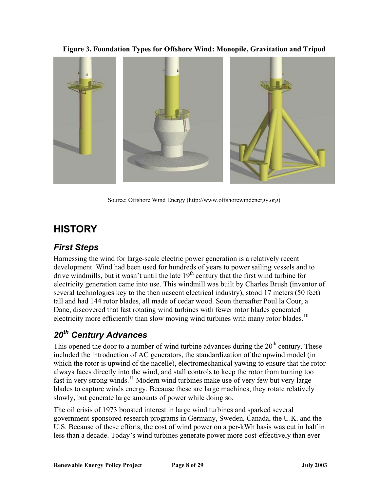**Figure 3. Foundation Types for Offshore Wind: Monopile, Gravitation and Tripod** 

<span id="page-7-0"></span>

Source: Offshore Wind Energy (http://www.offshorewindenergy.org)

# **HISTORY**

#### *First Steps*

Harnessing the wind for large-scale electric power generation is a relatively recent development. Wind had been used for hundreds of years to power sailing vessels and to drive windmills, but it wasn't until the late  $19<sup>th</sup>$  century that the first wind turbine for electricity generation came into use. This windmill was built by Charles Brush (inventor of several technologies key to the then nascent electrical industry), stood 17 meters (50 feet) tall and had 144 rotor blades, all made of cedar wood. Soon thereafter Poul la Cour, a Dane, discovered that fast rotating wind turbines with fewer rotor blades generated electricity more efficiently than slow moving wind turbines with many rotor blades.<sup>10</sup>

# *20th Century Advances*

This opened the door to a number of wind turbine advances during the  $20<sup>th</sup>$  century. These included the introduction of AC generators, the standardization of the upwind model (in which the rotor is upwind of the nacelle), electromechanical yawing to ensure that the rotor always faces directly into the wind, and stall controls to keep the rotor from turning too fast in very strong winds.[11](#page-28-10) Modern wind turbines make use of very few but very large blades to capture winds energy. Because these are large machines, they rotate relatively slowly, but generate large amounts of power while doing so.

The oil crisis of 1973 boosted interest in large wind turbines and sparked several government-sponsored research programs in Germany, Sweden, Canada, the U.K. and the U.S. Because of these efforts, the cost of wind power on a per-kWh basis was cut in half in less than a decade. Today's wind turbines generate power more cost-effectively than ever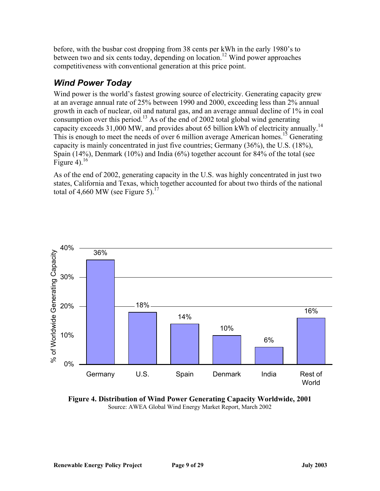<span id="page-8-0"></span>before, with the busbar cost dropping from 38 cents per kWh in the early 1980's to between two and six cents today, depending on location.<sup>12</sup> Wind power approaches competitiveness with conventional generation at this price point.

#### *Wind Power Today*

Wind power is the world's fastest growing source of electricity. Generating capacity grew at an average annual rate of 25% between 1990 and 2000, exceeding less than 2% annual growth in each of nuclear, oil and natural gas, and an average annual decline of 1% in coal consumption over this period.<sup>13</sup> As of the end of 2002 total global wind generating capacity exceeds 31,000 MW, and provides about 65 billion kWh of electricity annually.<sup>14</sup> This is enough to meet the needs of over 6 million average American homes.<sup>15</sup> Generating capacity is mainly concentrated in just five countries; Germany (36%), the U.S. (18%), Spain (14%), Denmark (10%) and India (6%) together account for 84% of the total (see Figure 4). $^{16}$  $^{16}$  $^{16}$ 

As of the end of 2002, generating capacity in the U.S. was highly concentrated in just two states, California and Texas, which together accounted for about two thirds of the national total of 4,660 MW (see Figure 5).<sup>[17](#page-28-16)</sup>



**Figure 4. Distribution of Wind Power Generating Capacity Worldwide, 2001**  Source: AWEA Global Wind Energy Market Report, March 2002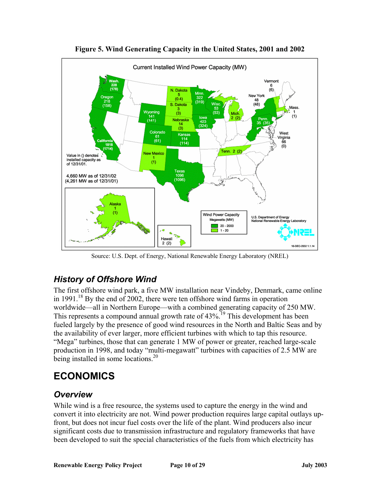<span id="page-9-0"></span>

**Figure 5. Wind Generating Capacity in the United States, 2001 and 2002** 

Source: U.S. Dept. of Energy, National Renewable Energy Laboratory (NREL)

### *History of Offshore Wind*

The first offshore wind park, a five MW installation near Vindeby, Denmark, came online in 1991.<sup>18</sup> By the end of 2002, there were ten offshore wind farms in operation worldwide—all in Northern Europe—with a combined generating capacity of 250 MW. This represents a compound annual growth rate of 43%.<sup>19</sup> This development has been fueled largely by the presence of good wind resources in the North and Baltic Seas and by the availability of ever larger, more efficient turbines with which to tap this resource. "Mega" turbines, those that can generate 1 MW of power or greater, reached large-scale production in 1998, and today "multi-megawatt" turbines with capacities of 2.5 MW are being installed in some locations.<sup>[20](#page-28-19)</sup>

# **ECONOMICS**

#### *Overview*

While wind is a free resource, the systems used to capture the energy in the wind and convert it into electricity are not. Wind power production requires large capital outlays upfront, but does not incur fuel costs over the life of the plant. Wind producers also incur significant costs due to transmission infrastructure and regulatory frameworks that have been developed to suit the special characteristics of the fuels from which electricity has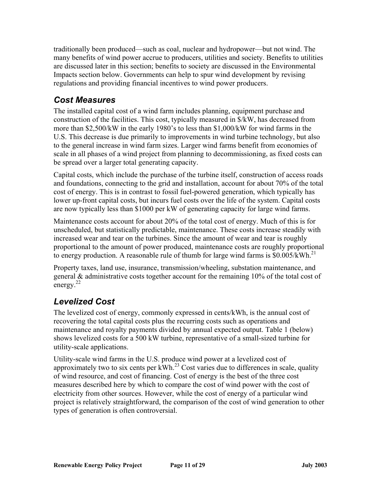<span id="page-10-0"></span>traditionally been produced—such as coal, nuclear and hydropower—but not wind. The many benefits of wind power accrue to producers, utilities and society. Benefits to utilities are discussed later in this section; benefits to society are discussed in the Environmental Impacts section below. Governments can help to spur wind development by revising regulations and providing financial incentives to wind power producers.

### *Cost Measures*

The installed capital cost of a wind farm includes planning, equipment purchase and construction of the facilities. This cost, typically measured in \$/kW, has decreased from more than \$2,500/kW in the early 1980's to less than \$1,000/kW for wind farms in the U.S. This decrease is due primarily to improvements in wind turbine technology, but also to the general increase in wind farm sizes. Larger wind farms benefit from economies of scale in all phases of a wind project from planning to decommissioning, as fixed costs can be spread over a larger total generating capacity.

Capital costs, which include the purchase of the turbine itself, construction of access roads and foundations, connecting to the grid and installation, account for about 70% of the total cost of energy. This is in contrast to fossil fuel-powered generation, which typically has lower up-front capital costs, but incurs fuel costs over the life of the system. Capital costs are now typically less than \$1000 per kW of generating capacity for large wind farms.

Maintenance costs account for about 20% of the total cost of energy. Much of this is for unscheduled, but statistically predictable, maintenance. These costs increase steadily with increased wear and tear on the turbines. Since the amount of wear and tear is roughly proportional to the amount of power produced, maintenance costs are roughly proportional to energy production. A reasonable rule of thumb for large wind farms is  $$0.005/kWh.<sup>21</sup>$  $$0.005/kWh.<sup>21</sup>$  $$0.005/kWh.<sup>21</sup>$ 

Property taxes, land use, insurance, transmission/wheeling, substation maintenance, and general & administrative costs together account for the remaining 10% of the total cost of energy. $^{22}$ 

### *Levelized Cost*

The levelized cost of energy, commonly expressed in cents/kWh, is the annual cost of recovering the total capital costs plus the recurring costs such as operations and maintenance and royalty payments divided by annual expected output. Table 1 (below) shows levelized costs for a 500 kW turbine, representative of a small-sized turbine for utility-scale applications.

Utility-scale wind farms in the U.S. produce wind power at a levelized cost of approximately two to six cents per  $kWh<sup>23</sup>$  Cost varies due to differences in scale, quality of wind resource, and cost of financing. Cost of energy is the best of the three cost measures described here by which to compare the cost of wind power with the cost of electricity from other sources. However, while the cost of energy of a particular wind project is relatively straightforward, the comparison of the cost of wind generation to other types of generation is often controversial.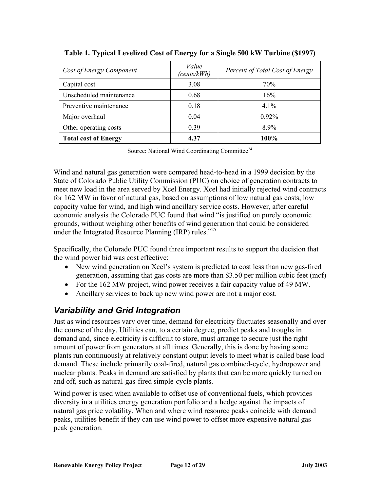| Cost of Energy Component    | Value<br>(cents/kWh) | Percent of Total Cost of Energy |
|-----------------------------|----------------------|---------------------------------|
| Capital cost                | 3.08                 | 70%                             |
| Unscheduled maintenance     | 0.68                 | 16%                             |
| Preventive maintenance      | 0.18                 | $4.1\%$                         |
| Major overhaul              | 0.04                 | $0.92\%$                        |
| Other operating costs       | 0.39                 | 8.9%                            |
| <b>Total cost of Energy</b> | 4.37                 | 100%                            |

<span id="page-11-0"></span>**Table 1. Typical Levelized Cost of Energy for a Single 500 kW Turbine (\$1997)** 

Source: National Wind Coordinating Committee<sup>[24](#page-28-23)</sup>

Wind and natural gas generation were compared head-to-head in a 1999 decision by the State of Colorado Public Utility Commission (PUC) on choice of generation contracts to meet new load in the area served by Xcel Energy. Xcel had initially rejected wind contracts for 162 MW in favor of natural gas, based on assumptions of low natural gas costs, low capacity value for wind, and high wind ancillary service costs. However, after careful economic analysis the Colorado PUC found that wind "is justified on purely economic grounds, without weighing other benefits of wind generation that could be considered under the Integrated Resource Planning (IRP) rules."<sup>[25](#page-28-24)</sup>

Specifically, the Colorado PUC found three important results to support the decision that the wind power bid was cost effective:

- New wind generation on Xcel's system is predicted to cost less than new gas-fired generation, assuming that gas costs are more than \$3.50 per million cubic feet (mcf)
- For the 162 MW project, wind power receives a fair capacity value of 49 MW.
- Ancillary services to back up new wind power are not a major cost.

#### *Variability and Grid Integration*

Just as wind resources vary over time, demand for electricity fluctuates seasonally and over the course of the day. Utilities can, to a certain degree, predict peaks and troughs in demand and, since electricity is difficult to store, must arrange to secure just the right amount of power from generators at all times. Generally, this is done by having some plants run continuously at relatively constant output levels to meet what is called base load demand. These include primarily coal-fired, natural gas combined-cycle, hydropower and nuclear plants. Peaks in demand are satisfied by plants that can be more quickly turned on and off, such as natural-gas-fired simple-cycle plants.

Wind power is used when available to offset use of conventional fuels, which provides diversity in a utilities energy generation portfolio and a hedge against the impacts of natural gas price volatility. When and where wind resource peaks coincide with demand peaks, utilities benefit if they can use wind power to offset more expensive natural gas peak generation.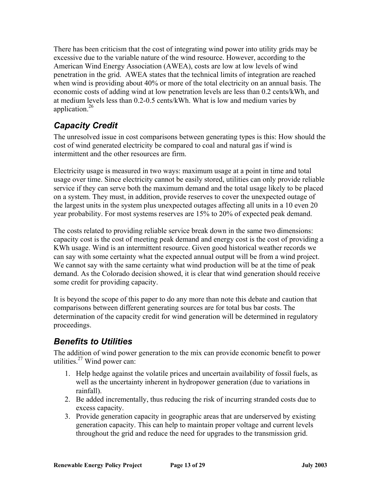<span id="page-12-0"></span>There has been criticism that the cost of integrating wind power into utility grids may be excessive due to the variable nature of the wind resource. However, according to the American Wind Energy Association (AWEA), costs are low at low levels of wind penetration in the grid. AWEA states that the technical limits of integration are reached when wind is providing about 40% or more of the total electricity on an annual basis. The economic costs of adding wind at low penetration levels are less than 0.2 cents/kWh, and at medium levels less than 0.2-0.5 cents/kWh. What is low and medium varies by application[.26](#page-28-25)

### *Capacity Credit*

The unresolved issue in cost comparisons between generating types is this: How should the cost of wind generated electricity be compared to coal and natural gas if wind is intermittent and the other resources are firm.

Electricity usage is measured in two ways: maximum usage at a point in time and total usage over time. Since electricity cannot be easily stored, utilities can only provide reliable service if they can serve both the maximum demand and the total usage likely to be placed on a system. They must, in addition, provide reserves to cover the unexpected outage of the largest units in the system plus unexpected outages affecting all units in a 10 even 20 year probability. For most systems reserves are 15% to 20% of expected peak demand.

The costs related to providing reliable service break down in the same two dimensions: capacity cost is the cost of meeting peak demand and energy cost is the cost of providing a KWh usage. Wind is an intermittent resource. Given good historical weather records we can say with some certainty what the expected annual output will be from a wind project. We cannot say with the same certainty what wind production will be at the time of peak demand. As the Colorado decision showed, it is clear that wind generation should receive some credit for providing capacity.

It is beyond the scope of this paper to do any more than note this debate and caution that comparisons between different generating sources are for total bus bar costs. The determination of the capacity credit for wind generation will be determined in regulatory proceedings.

#### *Benefits to Utilities*

The addition of wind power generation to the mix can provide economic benefit to power utilities. $27$  Wind power can:

- 1. Help hedge against the volatile prices and uncertain availability of fossil fuels, as well as the uncertainty inherent in hydropower generation (due to variations in rainfall).
- 2. Be added incrementally, thus reducing the risk of incurring stranded costs due to excess capacity.
- 3. Provide generation capacity in geographic areas that are underserved by existing generation capacity. This can help to maintain proper voltage and current levels throughout the grid and reduce the need for upgrades to the transmission grid.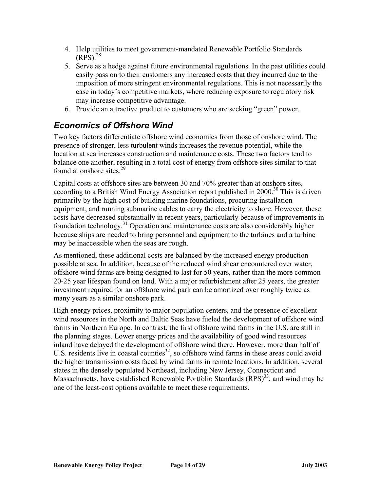- <span id="page-13-0"></span>4. Help utilities to meet government-mandated Renewable Portfolio Standards  $(RPS)$ <sup>[28](#page-28-27)</sup>
- 5. Serve as a hedge against future environmental regulations. In the past utilities could easily pass on to their customers any increased costs that they incurred due to the imposition of more stringent environmental regulations. This is not necessarily the case in today's competitive markets, where reducing exposure to regulatory risk may increase competitive advantage.
- 6. Provide an attractive product to customers who are seeking "green" power.

### *Economics of Offshore Wind*

Two key factors differentiate offshore wind economics from those of onshore wind. The presence of stronger, less turbulent winds increases the revenue potential, while the location at sea increases construction and maintenance costs. These two factors tend to balance one another, resulting in a total cost of energy from offshore sites similar to that found at onshore sites. $29$ 

Capital costs at offshore sites are between 30 and 70% greater than at onshore sites, according to a British Wind Energy Association report published in 2000.<sup>30</sup> This is driven primarily by the high cost of building marine foundations, procuring installation equipment, and running submarine cables to carry the electricity to shore. However, these costs have decreased substantially in recent years, particularly because of improvements in foundation technology.<sup>31</sup> Operation and maintenance costs are also considerably higher because ships are needed to bring personnel and equipment to the turbines and a turbine may be inaccessible when the seas are rough.

As mentioned, these additional costs are balanced by the increased energy production possible at sea. In addition, because of the reduced wind shear encountered over water, offshore wind farms are being designed to last for 50 years, rather than the more common 20-25 year lifespan found on land. With a major refurbishment after 25 years, the greater investment required for an offshore wind park can be amortized over roughly twice as many years as a similar onshore park.

High energy prices, proximity to major population centers, and the presence of excellent wind resources in the North and Baltic Seas have fueled the development of offshore wind farms in Northern Europe. In contrast, the first offshore wind farms in the U.S. are still in the planning stages. Lower energy prices and the availability of good wind resources inland have delayed the development of offshore wind there. However, more than half of U.S. residents live in coastal counties<sup>32</sup>, so offshore wind farms in these areas could avoid the higher transmission costs faced by wind farms in remote locations. In addition, several states in the densely populated Northeast, including New Jersey, Connecticut and Massachusetts, have established Renewable Portfolio Standards (RPS)<sup>33</sup>, and wind may be one of the least-cost options available to meet these requirements.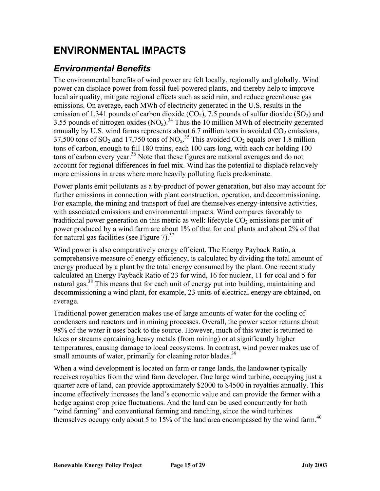# <span id="page-14-0"></span>**ENVIRONMENTAL IMPACTS**

### *Environmental Benefits*

The environmental benefits of wind power are felt locally, regionally and globally. Wind power can displace power from fossil fuel-powered plants, and thereby help to improve local air quality, mitigate regional effects such as acid rain, and reduce greenhouse gas emissions. On average, each MWh of electricity generated in the U.S. results in the emission of 1,341 pounds of carbon dioxide  $(CO_2)$ , 7.5 pounds of sulfur dioxide  $(SO_2)$  and 3.55 pounds of nitrogen oxides  $(NO_x)$ .<sup>34</sup> Thus the 10 million MWh of electricity generated annually by U.S. wind farms represents about 6.7 million tons in avoided  $CO<sub>2</sub>$  emissions, 37,500 tons of SO<sub>2</sub> and 17,750 tons of NO<sub>x</sub><sup>35</sup>. This avoided CO<sub>2</sub> equals over 1.8 million tons of carbon, enough to fill 180 trains, each 100 cars long, with each car holding 100 tons of carbon every year.<sup>36</sup> Note that these figures are national averages and do not account for regional differences in fuel mix. Wind has the potential to displace relatively more emissions in areas where more heavily polluting fuels predominate.

Power plants emit pollutants as a by-product of power generation, but also may account for further emissions in connection with plant construction, operation, and decommissioning. For example, the mining and transport of fuel are themselves energy-intensive activities, with associated emissions and environmental impacts. Wind compares favorably to traditional power generation on this metric as well: lifecycle  $CO<sub>2</sub>$  emissions per unit of power produced by a wind farm are about 1% of that for coal plants and about 2% of that for natural gas facilities (see Figure 7).<sup>[37](#page-28-36)</sup>

Wind power is also comparatively energy efficient. The Energy Payback Ratio, a comprehensive measure of energy efficiency, is calculated by dividing the total amount of energy produced by a plant by the total energy consumed by the plant. One recent study calculated an Energy Payback Ratio of 23 for wind, 16 for nuclear, 11 for coal and 5 for natural gas.<sup>38</sup> This means that for each unit of energy put into building, maintaining and decommissioning a wind plant, for example, 23 units of electrical energy are obtained, on average.

Traditional power generation makes use of large amounts of water for the cooling of condensers and reactors and in mining processes. Overall, the power sector returns about 98% of the water it uses back to the source. However, much of this water is returned to lakes or streams containing heavy metals (from mining) or at significantly higher temperatures, causing damage to local ecosystems. In contrast, wind power makes use of small amounts of water, primarily for cleaning rotor blades.<sup>39</sup>

When a wind development is located on farm or range lands, the landowner typically receives royalties from the wind farm developer. One large wind turbine, occupying just a quarter acre of land, can provide approximately \$2000 to \$4500 in royalties annually. This income effectively increases the land's economic value and can provide the farmer with a hedge against crop price fluctuations. And the land can be used concurrently for both "wind farming" and conventional farming and ranching, since the wind turbines themselves occupy only about 5 to 15% of the land area encompassed by the wind farm.<sup>[40](#page-28-39)</sup>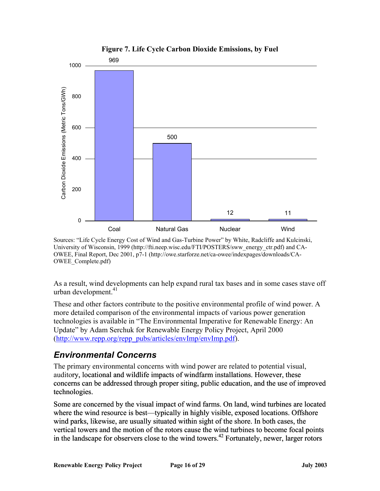<span id="page-15-0"></span>

**Figure 7. Life Cycle Carbon Dioxide Emissions, by Fuel** 

Sources: "Life Cycle Energy Cost of Wind and Gas-Turbine Power" by White, Radcliffe and Kulcinski, University of Wisconsin, 1999 (http://fti.neep.wisc.edu/FTI/POSTERS/sww\_energy\_ctr.pdf) and CA-OWEE, Final Report, Dec 2001, p7-1 (http://owe.starforze.net/ca-owee/indexpages/downloads/CA-OWEE\_Complete.pdf)

As a result, wind developments can help expand rural tax bases and in some cases stave off urban development. $41$ 

These and other factors contribute to the positive environmental profile of wind power. A technologies is available in "The Environmental Imperative for Renewable Energy: An more detailed comparison of the environmental impacts of various power generation Update" by Adam Serchuk for Renewable Energy Policy Project, April 2000 (http://www.repp.org/repp\_pubs/articles/envImp/envImp.pdf).

#### *Environmental Concerns*

The primary environmental concerns with wind power are related to potential visual, concerns can be addressed through proper siting, public education, and the use of improved auditory, locational and wildlife impacts of windfarm installations. However, these technologies. auditory, locational and wildlife impacts of windfarm installations. However, these<br>concerns can be addressed through proper siting, public education, and the use of improve<br>technologies.<br>Some are concerned by the visual i

Some are concerned by the visual impact of wind farms. On land, wind turbines are located vertical towers and the motion of the rotors cause the wind turbines to become focal points wind parks, likewise, are usually situated within sight of the shore. In both cases, the in the landscape for observers close to the wind towers.<sup>42</sup> Fortunately, newer, larger rotors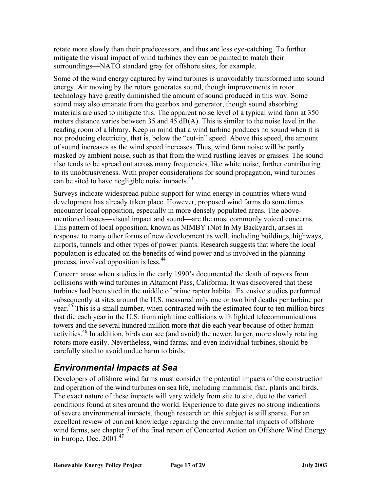<span id="page-16-0"></span>rotate more slowly than their predecessors, and thus are less eye-catching. To further mitigate the visual impact of wind turbines they can be painted to match their surroundings—NATO standard gray for offshore sites, for example.

Some of the wind energy captured by wind turbines is unavoidably transformed into sound technology have greatly diminished the amount of sound produced in this way. Some masked by ambient noise, such as that from the wind rustling leaves or grasses. The sound energy. Air moving by the rotors generates sound, though improvements in rotor sound may also emanate from the gearbox and generator, though sound absorbing materials are used to mitigate this. The apparent noise level of a typical wind farm at 350 meters distance varies between 35 and 45 dB(A). This is similar to the noise level in the reading room of a library. Keep in mind that a wind turbine produces no sound when it is not producing electricity, that is, below the "cut-in" speed. Above this speed, the amount of sound increases as the wind speed increases. Thus, wind farm noise will be partly also tends to be spread out across many frequencies, like white noise, further contributing to its unobtrusiveness. With proper considerations for sound propagation, wind turbines can be sited to have negligible noise impacts.<sup>[43](#page-28-42)</sup>

Surveys indicate widespread public support for wind energy in countries where wind mentioned issues—visual impact and sound—are the most commonly voiced concerns. response to many other forms of new development as well, including buildings, highways, development has already taken place. However, proposed wind farms do sometimes encounter local opposition, especially in more densely populated areas. The above-This pattern of local opposition, known as NIMBY (Not In My Backyard), arises in airports, tunnels and other types of power plants. Research suggests that where the local population is educated on the benefits of wind power and is involved in the planning process, involved opposition is less.<sup>44</sup>

Concern arose when studies in the early 1990's documented the death of raptors from turbines had been sited in the middle of prime raptor habitat. Extensive studies performed collisions with wind turbines in Altamont Pass, California. It was discovered that these subsequently at sites around the U.S. measured only one or two bird deaths per turbine per year[.45](#page-28-43) This is a small number, when contrasted with the estimated four to ten million birds that die each year in the U.S. from nighttime collisions with lighted telecommunications towers and the several hundred million more that die each year because of other human activities[.46](#page-28-44) In addition, birds can see (and avoid) the newer, larger, more slowly rotating rotors more easily. Nevertheless, wind farms, and even individual turbines, should be carefully sited to avoid undue harm to birds.

#### *Environmental Impacts at Sea*

Developers of offshore wind farms must consider the potential impacts of the construction conditions found at sites around the world. Experience to date gives no strong indications wind farms, see chapter 7 of the final report of Concerted Action on Offshore Wind Energy in Europe, Dec.  $2001<sup>47</sup>$  $2001<sup>47</sup>$  $2001<sup>47</sup>$ and operation of the wind turbines on sea life, including mammals, fish, plants and birds. The exact nature of these impacts will vary widely from site to site, due to the varied of severe environmental impacts, though research on this subject is still sparse. For an excellent review of current knowledge regarding the environmental impacts of offshore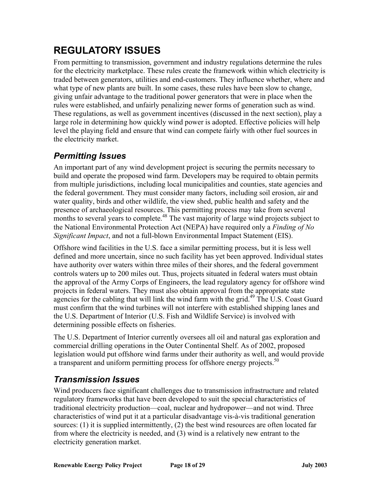# <span id="page-17-0"></span>**REGULATORY ISSUES**

From permitting to transmission, government and industry regulations determine the rules for the electricity marketplace. These rules create the framework within which electricity is traded between generators, utilities and end-customers. They influence whether, where and These regulations, as well as government incentives (discussed in the next section), play a large role in determining how quickly wind power is adopted. Effective policies will help what type of new plants are built. In some cases, these rules have been slow to change, giving unfair advantage to the traditional power generators that were in place when the rules were established, and unfairly penalizing newer forms of generation such as wind. level the playing field and ensure that wind can compete fairly with other fuel sources in the electricity market.

#### *Permitting Issues*

An important part of any wind development project is securing the permits necessary to build and operate the proposed wind farm. Developers may be required to obtain permits from multiple jurisdictions, including local municipalities and counties, state agencies and the federal government. They must consider many factors, including soil erosion, air and water quality, birds and other wildlife, the view shed, public health and safety and the presence of archaeological resources. This permitting process may take from several months to several years to complete.<sup>48</sup> The vast majority of large wind projects subject to the National Environmental Protection Act (NEPA) have required only a *Finding of No Significant Impact*, and not a full-blown Environmental Impact Statement (EIS).

defined and more uncertain, since no such facility has yet been approved. Individual states have authority over waters within three miles of their shores, and the federal government controls waters up to 200 miles out. Thus, projects situated in federal waters must obtain Offshore wind facilities in the U.S. face a similar permitting process, but it is less well the approval of the Army Corps of Engineers, the lead regulatory agency for offshore wind projects in federal waters. They must also obtain approval from the appropriate state agencies for the cabling that will link the wind farm with the grid.<sup>[49](#page-28-47)</sup> The U.S. Coast Guard must confirm that the wind turbines will not interfere with established shipping lanes and the U.S. Department of Interior (U.S. Fish and Wildlife Service) is involved with determining possible effects on fisheries.

commercial drilling operations in the Outer Continental Shelf. As of 2002, proposed legislation would put offshore wind farms under their authority as well, and would provide The U.S. Department of Interior currently oversees all oil and natural gas exploration and a transparent and uniform permitting process for offshore energy projects.<sup>[50](#page-28-27)</sup>

#### *Transmission Issues*

Wind producers face significant challenges due to transmission infrastructure and related regulatory frameworks that have been developed to suit the special characteristics of traditional electricity production—coal, nuclear and hydropower—and not wind. Three sources: (1) it is supplied intermittently, (2) the best wind resources are often located far characteristics of wind put it at a particular disadvantage vis-à-vis traditional generation from where the electricity is needed, and (3) wind is a relatively new entrant to the electricity generation market.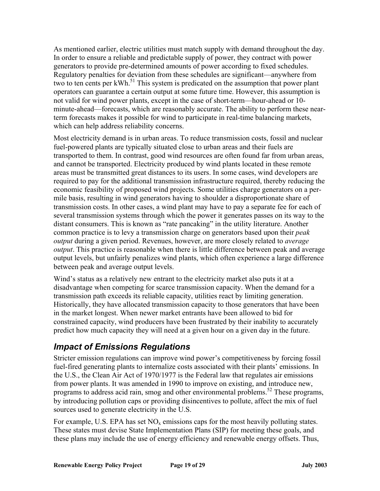<span id="page-18-0"></span>As mentioned earlier, electric utilities must match supply with demand throughout the day . In order to ensure a reliable and predictable supply of power, they contract with pow er generators to provide pre-deter mined amounts of power according to fixed schedules. operators can guarantee a certain output at some future time. However, this assumption is minute-ahead—forecasts, which are reasonably accurate. The ability to perform these near-Regulatory penalties for deviation from these schedules are significant—anywhere from two to ten cents per kWh.<sup>51</sup> This system is predicated on the assumption that power plant not valid for wind power plants, except in the case of short-term—hour-ahead or 10 term forecasts makes it possible for wind to participate in real-time balancing markets, which can help address reliability concerns.

transported to them. In contrast, good wind resources are often found far from urban areas, output levels, but unfairly penalizes wind plants, which often experience a large difference Most electricity demand is in urban areas. To reduce transmission costs, fossil and nuclear fuel-powered plants are typically situated close to urban areas and their fuels are and cannot be transported. Electricity produced by wind plants located in these remote areas must be transmitted great distances to its users. In some cases, wind developers are required to pay for the additional transmission infrastructure required, thereby reducing the economic feasibility of proposed wind projects. Some utilities charge generators on a permile basis, resulting in wind generators having to shoulder a disproportionate share of transmission costs. In other cases, a wind plant may have to pay a separate fee for each of several transmission systems through which the power it generates passes on its way to the distant consumers. This is known as "rate pancaking" in the utility literature. Another common practice is to levy a transmission charge on generators based upon their *peak output* during a given period. Revenues, however, are more closely related to *average output*. This practice is reasonable when there is little difference between peak and average between peak and average output levels.

transmission path exceeds its reliable capacity, utilities react by limiting generation. Historically, they have allocated transmission capacity to those generators that have been Wind's status as a relatively new entrant to the electricity market also puts it at a disadvantage when competing for scarce transmission capacity. When the demand for a in the market longest. When newer market entrants have been allowed to bid for constrained capacity, wind producers have been frustrated by their inability to accurately predict how much capacity they will need at a given hour on a given day in the future.

#### *Impact of Emissions Regulations*

Stricter emission regulations can improve wind power's competitiveness by forcing fossil fuel-fired generating plants to internalize costs associated with their plants' emissions. In the U.S., the Clean Air Act of 1970/1977 is the Federal law that regulates air emissions from power plants. It was amended in 1990 to improve on existing, and introduce new, programs to address acid rain, smog and other environmental problems.<sup>52</sup> These programs, by introducing pollution caps or providing disincentives to pollute, affect the mix of fuel sources used to generate electricity in the U.S.

these plans may include the use of energy efficiency and renewable energy offsets. Thus, For example, U.S. EPA has set  $NO<sub>x</sub>$  emissions caps for the most heavily polluting states. These states must devise State Implementation Plans (SIP) for meeting these goals, and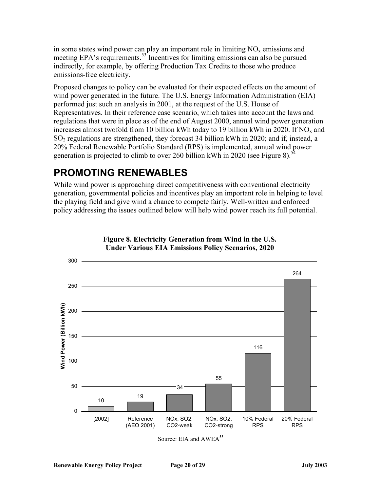<span id="page-19-0"></span>in some states wind power can play an important role in limiting  $NO<sub>x</sub>$  emissions and meeting EPA's requirements.<sup>53</sup> Incentives for limiting emissions can also be pursued indirectly, for example, by offering Production Tax Credits to those who produce emissions-free electricity.

Proposed changes to policy can be evaluated for their expected effects on the amount o f wind power generated in the future. The U.S. Energy Information Administration ( EIA) performed just such an ana lysis in 2001, at the request of the U.S. House of regulations that were in place as of the end of August 2000, annual wind power generation increases almost twofold from 10 billion kWh today to 19 billion kWh in 2020. If  $NO<sub>x</sub>$  and Representatives. In their reference case scenario, which takes into account the laws and SO2 regulations are strengthened, they forecast 34 billion kWh in 2020; and if, instead, a 20% Federal Renewable Portfolio Standard (RPS) is implemented, annual wind power generation is projected to climb to over 260 billion kWh in 2020 (see Figure 8).<sup>[54](#page-28-50)</sup>

# **PROMOTING RENEWABLES**

While wind power is approaching direct competitiveness with conventional electricity generation, governmental policies and incentives play an important role in helping to level the playing field and give wind a chance to compete fairly. Well-written and enforced . policy addressing the issues outlined below will help wind power reach its full potential





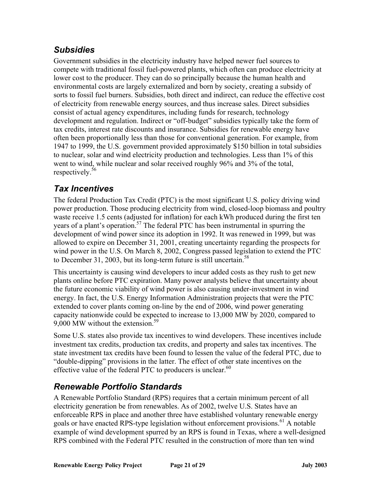#### <span id="page-20-0"></span>*Subsidies*

Government subsidies in the electricity industry have helped newer fuel sources to compete with traditional fossil fuel-powered plants, which often can produce electricity at lower cost to the producer. They can do so principally because the human health and environmental costs are largely externalized and born by society, creating a subsidy of sorts to fossil fuel burners. Subsidies, both direct and indirect, can reduce the effective cost of electricity from renewable energy sources, and thus increase sales. Direct subsidies consist of actual agency expenditures, including funds for research, technology development and regulation. Indirect or "off-budget" subsidies typically take the form of tax credits, interest rate discounts and insurance. Subsidies for renewable energy have often been proportionally less than those for conventional generation. For example, from 1947 to 1999, the U.S. government provided approximately \$150 billion in total subsidies to nuclear, solar and wind electricity production and technologies. Less than 1% of this went to wind, while nuclear and solar received roughly 96% and 3% of the total, respectively. [56](#page-28-52)

### *Tax Incentives*

wind power in the U.S. On March 8, 2002, Congress passed legislation to extend the PTC to December 31, 2003, but its long-term future is still uncertain.<sup>[58](#page-28-36)</sup> The federal Production Tax Credit (PTC) is the most significant U.S. policy driving wind power production. Those producing electricity from wind, closed-loop biomass and poultry waste receive 1.5 cents (adjusted for inflation) for each kWh produced during the first ten years of a plant's operation.<sup>57</sup> The federal PTC has been instrumental in spurring the development of wind power since its adoption in 1992. It was renewed in 1999, but was allowed to expire on December 31, 2001, creating uncertainty regarding the prospects for

This uncertainty is causing wind developers to incur added costs as they rush to get new plants online before PTC expiration. Many power analysts believe that uncertainty about the future economic viability of wind power is also causing under-investment in wind energy. In fact, the U.S. Energy Information Administration projects that were the PTC extended to cover plants coming on-line by the end of 2006, wind power generating capacity nationwide could be expected to increase to 13,000 MW by 2020, compared to 9,000 MW without the extension.<sup>[59](#page-28-53)</sup>

Some U.S. states also provide tax incentives to wind developers. These incentives include investment tax credits, production tax credits, and property and sales tax incentives. The state investment tax credits have been found to lessen the value of the federal PTC, due to "double-dipping" provisions in the latter. The effect of other state incentives on the effective value of the federal PTC to producers is unclear.  $60$ 

### *Renewable Portfolio Standards*

A Renewable Portfolio Standard (RPS) requires that a certain minimum percent of all electricity generation be from renewables. As of 2002, twelve U.S. States have an enforceable RPS in place and another three have established voluntary renewable energy goals or have enacted RPS-type legislation without enforcement provisions.<sup>61</sup> A notable example of wind development spurred by an RPS is found in Texas, where a well-designed RPS combined with the Federal PTC resulted in the construction of more than ten wind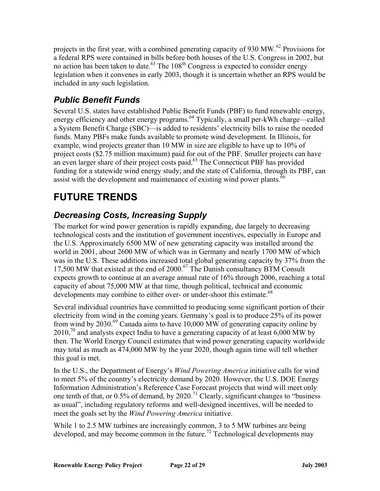<span id="page-21-0"></span>projects in the first year, with a combined generating capacity of 930 MW.<sup>[62](#page-28-54)</sup> Provisions for a federal RPS were contained in bills before both houses of the U.S. Congress in 2002, but no action has been taken to date.<sup>63</sup> The  $108<sup>th</sup>$  Congress is expected to consider energy legislation when it convenes in early 2003, though it is uncertain whether an RPS would be included in any such legislation.

### *Public Benefit Funds*

, Several U.S. states have established Public Benefit Funds (PBF) to fund renewable energy energy efficiency and other energy programs.<sup>64</sup> Typically, a small per-kWh charge—called funds. Many PBFs make funds available to promote wind development. In Illinois, for project costs (\$2.75 million maximum) paid for out of the PBF. Smaller projects can have an even larger share of their project costs paid.<sup>65</sup> The Connecticut PBF has provided a System Benefit Charge (SBC)—is added to residents' electricity bills to raise the needed example, wind projects greater than 10 MW in size are eligible to have up to 10% of funding for a statewide wind energy study; and the state of California, through its PBF, can assist with the development and maintenance of existing wind power plants.<sup>66</sup>

# **FUTURE TRENDS**

### *pply Decreasing Costs, Increasing Su*

technological costs and the institution of government incentives, especially in Europe and The market for wind power generation is rapidly expanding, due largely to decreasing the U.S. Approximately 6500 MW of new generating capacity was installed around the world in 2001, about 2600 MW of which was in Germany and nearly 1700 MW of which was in the U.S. These additions increased total global generating capacity by 37% from the 17,500 MW that existed at the end of 2000.<sup>67</sup> The Danish consultancy BTM Consult expects growth to continue at an average annual rate of 16% through 2006, reaching a total capacity of about 75,000 MW at that time, though political, technical and economic developments may combine to either over- or under-shoot this estimate.<sup>[68](#page-28-43)</sup>

electricity from wind in the coming years. Germany's goal is to produce 25% of its power from wind by 2030.<sup>69</sup> Canada aims to have 10,000 MW of generating capacity online by  $2010<sup>70</sup>$  $2010<sup>70</sup>$  $2010<sup>70</sup>$  and analysts expect India to have a generating capacity of at least 6,000 MW by Several individual countries have committed to producing some significant portion of their then. The World Energy Council estimates that wind power generating capacity worldwide may total as much as 474,000 MW by the year 2020, though again time will tell whether this goal is met.

In the U.S., the Department of Energy's *Wind Powering America* initiative calls for wind to meet 5% of the country's electricity demand by 2020. However, the U.S. DOE Energy one tenth of that, or 0.5% of demand, by 2020.<sup>71</sup> Clearly, significant changes to "business" Information Administration's Reference Case Forecast projects that wind will meet only as usual", including regulatory reforms and well-designed incentives, will be needed to meet the goals set by the *Wind Powering America* initiative.

While 1 to 2.5 MW turbines are increasingly common, 3 to 5 MW turbines are being developed, and may become common in the future.<sup>72</sup> Technological developments may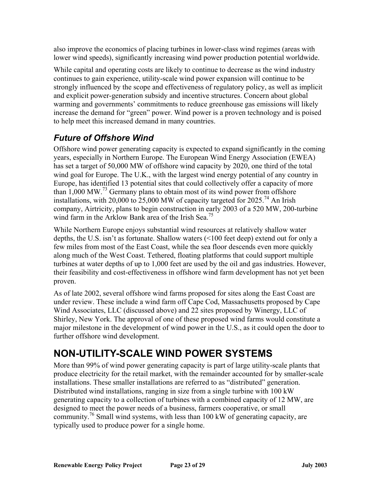<span id="page-22-0"></span>also improve the economics o f placing turbines in lower-class wind regimes (areas with lower wind speeds), significantly increasing wind power production potential worldwide.

While capital and operating costs are likely to continue to decrease as the wind industry continues to gain experience, utility-scale wind power expansion will continue to be strongly influenced by the scope and effectiveness of regulatory policy, as well as implicit and explicit power-generation subsidy and incentive structures. Concern about global warming and governments' commitments to reduce greenhouse gas emissions will likely increase the demand for "green" power. Wind power is a proven technology and is poised to help meet this increased demand in many countries.

### *Future of Offshore Wind*

Offshore wind power generating capacity is expected to expand significantly in the coming company, Airtricity, plans to begin construction in early 2003 of a 520 MW, 200-turbine wind farm in the Arklow Bank area of the Irish Sea.<sup>[75](#page-28-28)</sup> years, especially in Northern Europe. The European Wind Energy Association (EWEA) has set a target of 50,000 MW of offshore wind capacity by 2020, one third of the total wind goal for Europe. The U.K., with the largest wind energy potential of any country in Europe, has identified 13 potential sites that could collectively offer a capacity of more than  $1,000$  MW.<sup>73</sup> Germany plans to obtain most of its wind power from offshore installations, with 20,000 to 25,000 MW of capacity targeted for 2025.<sup>74</sup> An Irish

turbines at water depths of up to 1,000 feet are used by the oil and gas industries. However, their feasibility and cost-effectiveness in offshore wind farm development has not yet been While Northern Europe enjoys substantial wind resources at relatively shallow water depths, the U.S. isn't as fortunate. Shallow waters (<100 feet deep) extend out for only a few miles from most of the East Coast, while the sea floor descends even more quickly along much of the West Coast. Tethered, floating platforms that could support multiple proven.

Wind Associates, LLC (discussed above) and 22 sites proposed by Winergy, LLC of major milestone in the development of wind power in the U.S., as it could open the door to As of late 2002, several offshore wind farms proposed for sites along the East Coast are under review. These include a wind farm off Cape Cod, Massachusetts proposed by Cape Shirley, New York. The approval of one of these proposed wind farms would constitute a further offshore wind development.

# **NON-UTILITY-SCALE WIND POWER SYSTEMS**

More than 99% of wind power generating capacity is part of large utility-scale plants that produce electricity for the retail market, with the remainder accounted for by smaller-scale installations. These smaller installations are referred to as "distributed" generation. Distributed wind installations, ranging in size from a single turbine with 100 kW generating capacity to a collection of turbines with a combined capacity of 12 MW, are designed to meet the power needs of a business, farmers cooperative, or small community[.76](#page-28-48) Small wind systems, with less than 100 kW of generating capacity, are typically used to produce power for a single home.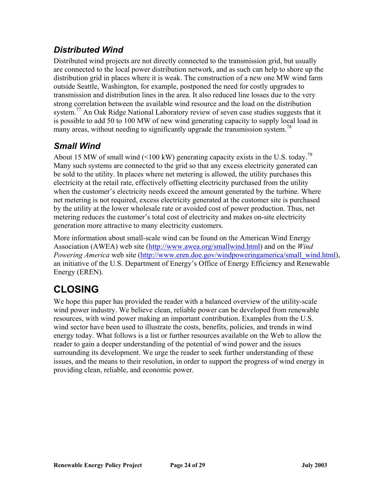#### <span id="page-23-0"></span>*Distributed Wind*

Distributed wind projects are not directly connected to the transmission grid, but usually are connected to the local power distribution network, and as such can help to shore up the distribution grid in places where it is weak. The construction of a new one MW wind farm many areas, without needing to significantly upgrade the transmission system.<sup>[78](#page-28-50)</sup> outside Seattle, Washington, for example, postponed the need for costly upgrades to transmission and distribution lines in the area. It also reduced line losses due to the very strong correlation between the available wind resource and the load on the distribution system.<sup>77</sup> An Oak Ridge National Laboratory review of seven case studies suggests that it is possible to add 50 to 100 MW of new wind generating capacity to supply local load in

### *Small Wind*

electricity at the retail rate, effectively offsetting electricity purchased from the utility when the customer's electricity needs exceed the amount generated by the turbine. Where net metering is not required, excess electricity generated at the customer site is purchased by the utility at the lower wholesale rate or avoided cost of power production. Thus, net About 15 MW of small wind (<100 kW) generating capacity exists in the U.S. today.<sup>[79](#page-28-60)</sup> Many such systems are connected to the grid so that any excess electricity generated can be sold to the utility. In places where net metering is allowed, the utility purchases this metering reduces the customer's total cost of electricity and makes on-site electricity generation more attractive to many electricity customers.

More information about small-scale wind can be found on the American Wind Energy Association (AWEA) web site (http://www.awea.org/smallwind.html) and on the *Wind Powering America* web site (http://www.eren.doe.gov/windpoweringamerica/small\_wind.html), an initiative of the U.S. Department of Energy's Office of Energy Efficiency and Rene wable Energy (EREN).

# **CLOSING**

wind sector have been used to illustrate the costs, benefits, policies, and trends in wind We hope this paper has provided the reader with a balanced overview of the utility-scale wind power industry. We believe clean, reliable power can be developed from renewable resources, with wind power making an important contribution. Examples from the U.S. energy today. What follows is a list or further resources available on the Web to allow the reader to gain a deeper understanding of the potential of wind power and the issues surrounding its development. We urge the reader to seek further understanding of these issues, and the means to their resolution, in order to support the progress of wind energy in providing clean, reliable, and economic power.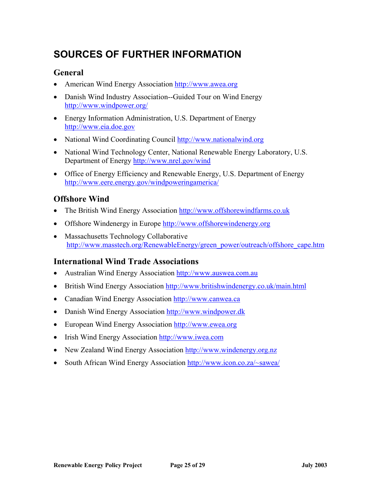# <span id="page-24-0"></span>**SOURCES OF FURTHER INFORMATION**

#### **General**

- American Wind Energy Ass[ociation http://www.awea.org](http://www.awea.org/smallwind.html)
- Danish Wind Industry A[ssociation--Guided](http://www.eren.doe.gov/windpoweringamerica/small_wind.html) Tour on Wind Energy http://www.windpower.org/
- Energy Information Administration, U.S. Department of Energy http://www.eia.doe.gov
- National Wind Coordinating Council http://www.nationalwind.org
- National Wind Technology Center, National Renewable Energy Laboratory, U.S. Department of Energy http://www.nrel.gov/wind
- Office of Energy Efficiency and Renewable Energy, U.S. Department of Energy http://www.eere.energy.gov/windpoweringamerica/

#### **Offshore Wind**

- The British Wind Energy Association http://www.offshorewindfarms.co.uk
- Offshore Windenergy in Europe http://www.offshorewindenergy.org
- Massachusetts Technology Collaborative http://www.masstech.org/RenewableEnergy/green\_power/outreach/offshore\_cape.htm

#### **International Wind Trade Associations**

- Australian Wind Energy Association http://www.auswea.com.au
- British Wind Energy Association http://www.britishwindenergy.co.uk/main.html
- Canadian Wind Energy Association http://www.canwea.ca
- Danish Wind Energy Association http://www.windpower.dk
- European Wind Energy Association http://www.ewea.org
- Irish Wind Energy Association http://www.iwea.com
- New Zealand Wind Energy Association http://www.windenergy.org.nz
- South African Wind Energy Association http://www.icon.co.za/~sawea/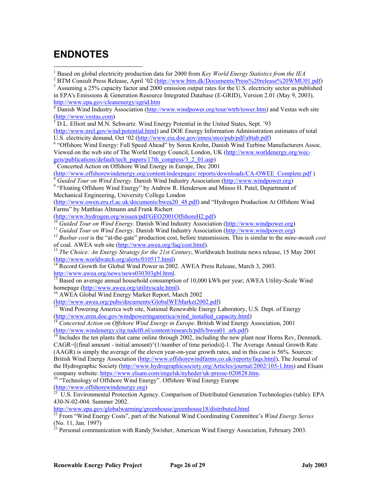## <span id="page-25-0"></span>**ENDNOTES**

<sup>1</sup> Based on global electricity production data for 2000 from *Key World Energy Statistics from the IEA*<br><sup>2</sup> BTM Consult Prass Balagge, April 202 (http://www.htm.dk/Documents/Prass%20ralgges%20WMLI 1

 Assuming a 25% capacity factor and 2000 emis[sion output rates for the U](http://www.awea.org/) .S. electricity sector as published in EPA's Emissions & Generation Resource Integrated Database (E-GRID), Version 2.01 (May 9, 2003), http://www.epa.gov/cleanenergy/egrid.htm

http://www.epa.gov/cleanenergy/egrid.htm<br><sup>4</sup> Danish Wind Industry Association (<u>http://www.windpower.org/tour/wtrb/tower.htm</u>) and Vestas web site

(http://www.vestas.com)<br><sup>5</sup> D.L. [Elliott and M.N. Schwartz](http://www.eia.doe.gov/). Wind Energy Potential in the United States, Sept. '93

(http[://www.nrel.gov/wind/potent](http://www.eia.doe.gov/)ial.html) and DOE Energy Information Administration estimates of total U.S. electricity demand, Oct '02 (http://www.eia[.doe.gov/emeu/steo/pub/pdf/a8tab.p](http://www.nationalwind.org/)df)<br><sup>6</sup> "Offshore Wind Energy: Eull Speed Abeed" by Seren Krehn, Denish Wind Turbine M

<sup>6</sup> "Offshore Wind Energy: Full Speed Ahead" by Soren Krohn, Danish Wind Turbine Manufacturers Assoc. Viewed on the web site of The World Energy Council, London, UK (http://www.worldenergy.org/wec-

geis/publications/default/tech\_[papers/17th\\_congress/3\\_2\\_01.as](http://www.nrel.gov/wind)p)<br>
<sup>7</sup> Concerted Action on Offshore Wind Energy in Europe, Dec 2001

(http://www.offshorewindenergy.org/content/indexpages/ reports/downloads/CA-OWEE\_Complete.pdf)<br>
<sup>8</sup> *Guided Tour on Wind Energy*. Danish Wind Industry Association (http://www.windpower.org)<br>
<sup>9</sup> "Electing Offshore Wind Ene *Guided Tour on Wind Energy.* Danish Wind Industry Association (http://www.windpower.org)

<sup>9</sup> "Floating Offshore Wind Energy" by Andrew R. Henderson and Minoo H. Patel, Department of Mechanical Engineering, University College London

(http://www.owen.eru.rl.ac.uk/documents/bwea20\_48.pdf) and "Hydrogen Production At Offshore Wind Farms" by Matthias Altmann and Frank Richert

(http://www.hydrogen.org/wissen/pdf/GEO2001OffshoreH2.pdf )

<sup>10</sup> *Guided Tour on Wind Energy.* Danish Wind Industry Association (http://www.windpower.org) <sup>11</sup> *Guided Tour on Wind Energy.* Danish Wind Industry Association (http://www.windpower.org)

<sup>12</sup> Busbar cost is the "at-the-gate" production cost, before transmission. This is similar to the *mine-mouth cost* of coal. AWEA web site (http://www.awea.org/faq/cost.html).

<sup>13</sup> *The Choice: An Energy Strategy for the 21st Century*, Worldwatch Institute news release, 15 May 2001 (http://www.worldwatch.org/alerts/010517.html)<br><sup>14</sup> Research Century of Century *Angles* 2001 1.1 With Angles 2002

 $h^4$  Record Growth for Global Wind Power in 200[2.](http://www.auswea.com.au/) AWEA Press Release, March 3, 2003.<br>http://www.awea.org/news/news030303gbl.html.

<sup>15</sup> Based on average annual household consumption of 10,000 kWh per year; AWEA Utility-Scale Wind homepage (http://www.awea.org/utilityscale.html).

<sup>16</sup> AWEA Global Wind Energy Market Report, March 2002<br>(http://www.awea.org/pubs/documents/Global WEMarket 2002.pdf)

(http://www.awea.org/pubs/documents/GlobalWEMarket2002.pdf)<br><sup>17</sup> Wind Powering America web site, National [Renewable Energy Laboratory,](http://www.windpower.dk/) U.S. Dept. of Energy (http://www.eren.doe.gov/windpoweringamer[ica/wind\\_installed\\_capacity.html](http://www.windpower.dk/))

<sup>18</sup> Concerted Action on Offshore Wind Energy in Europe[. British](http://www.ewea.org/) Wind Energy Association, 2001 (http://www.windenergy.citg.tudelft.nl/content/research/pdfs/bwea01\_arh.pdf)

 $19$  Includes the ten plants that came online [through 2002, including the](http://www.iwea.com/) new plant near Horns Rev, Denmark. CAGR=[(final amount - initial amount)^(1/number of time periods)]-1. The Average Annual Growth Rate (AAGR) is simply the average of the eleven year-on[-year growth rates, and in this case is](http://www.windenergy.org.nz/) 56%. Sources: British Wind Energy Association (http://www.offsho[rewindfarms.co.uk/reports/faqs.html\),](http://www.icon.co.za/~sawea/) The Journal of the Hydrographic Society (http://www.hydrographicso[ciety.org/Articles/journal/2002/105-1](http://www.icon.co.za/~sawea/).htm) and Elsam company website: https://www.elsam.com/engelsk/nyheder/uk-presse-020828.htm.<br><sup>20</sup> "Technology of Offshore Wind Energy". Offshore Wind Energy Europe

(http://www.offshorewindenergy.org) 21 U.S. Environmental Protection Agency. Comparison of Distributed Generation Technologies (table). EPA 430-N-02-004. Summer 2002.

http://www.epa.gov/globalwarming/greenhouse/greenhouse18/distributed.html 22 From "Wind Energy Costs", part of the National Wind Coordinating Committee's *Wind Energy Series* (No. 11, Jan. 1997)<br><sup>23</sup> Personal communication with Randy Swisher, American Wind Energy Association, February 2003.

<sup>&</sup>lt;sup>2</sup> BTM Consult Press Release, April '02 (http://w[ww.btm.dk/Documents/P](http://www.awea.org/)ress%20release%20WMU01.pdf)<br><sup>3</sup> Assuming a 25% appeaity fector and 2000 omission output rates for the U.S. electricity sector as published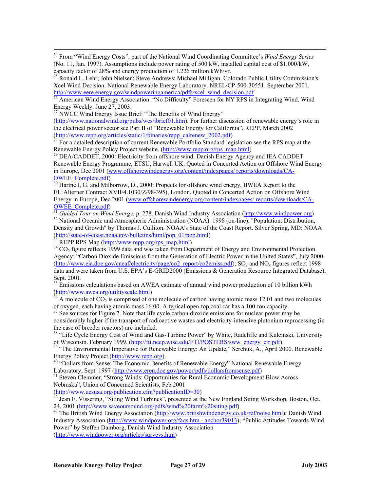<sup>24</sup> From "Wind Energy Costs", part of the National Wind Coordinating Committee's *Wind Energy Series* (No. 11, Jan. 1997). Assumptions include power rating of 500 kW, installed capital cost of \$1,000/kW, capacity factor of 28% and energy production of 1.226 million kWh/yr.

<sup>25</sup> Ronald L. Lehr; John Nielsen; Steve Andrews; Michael Milligan. Colorado Public Utility Commission's Xcel Wind Decision. National Renewable Energy Laboratory. NREL/CP-500-30551. September 2001. h[ttp://www.eere.energy.gov/windpowering](http://www.epa.gov/cleanenergy/egrid.htm)america/pdfs/xcel\_wind\_decision.pdf<br><sup>26</sup> [American Wind Energy Association. "N](http://www.epa.gov/cleanenergy/egrid.htm)o Difficulty" Foreseen for NY RPS in Integrating Wind. Wind

Energy Weekly. June 27, 2003.

<sup>27</sup> NWCC Wind Energy Issue Brief: "The Benefits of Wind Energy"

 $\overline{a}$ 

(http://www.nationalwind.org/pubs/wes/ibrief01.htm). For further discussion of renewab le energy's role in t [he electrical power sector see Part II of "](http://www.nrel.gov/wind/potential.html)Renewable Energy for California", REPP, March 2002

(http://www.repp.org/articles/stat[ic/1/binaries/repp\\_calrenew\\_2002.pdf\)](http://www.eia.doe.gov/emeu/steo/pub/pdf/a8tab.pdf)<br><sup>28</sup> For a detailed description of current Renewable Portfolio Standard legislation see the RPS map at the [Renewable Energy Policy Project website. \(http://www.repp.org/](http://www.worldenergy.org/wec-geis/publications/default/tech_papers/17th_congress/3_2_01.asp)rps\_map.html)<br><sup>29</sup> [DEA/CADDET, 2000: Electricity from offshore wind. Danish](http://www.worldenergy.org/wec-geis/publications/default/tech_papers/17th_congress/3_2_01.asp) Ene[rgy Agency](http://www.worldenergy.org/wec-geis/publications/default/tech_papers/17th_congress/3_2_01.asp) and IEA CADDET

Renewable Energy Programme, ETSU, Harwell UK. Quoted in Concerted Action on Offshore Wind Energy in Europe, Dec 2001 (www.offshorewindenergy.org/content/indexpages/ reports/downloads/CA-OWEE\_Complete.pdf)

<sup>30</sup> Hartnell, G. and Milborrow, D., 2000: Propects for offshore wind energy, BWEA Report to the EU Alterner Contract XVII/4.1030/Z/98-395), London. Quoted in Concerted Action on Offshore W ind E[nergy in Europe, Dec 2001 \(www.offshorewindenergy.or](http://www.owen.eru.rl.ac.uk/documents/bwea20_48.pdf)g/content/indexpages/ reports/downloads/CA-

OWEE\_Complete.pdf) 31 *Guided Tour on Wind Energy.* [p. 278. Danish Wind Industry As](http://www.hydrogen.org/wissen/pdf/GEO2001OffshoreH2.pdf)sociation (http://www.windpower.org)

<sup>32</sup> National Oceanic and Atmospheric Administration (NOAA). 199[8 \(on-line\). "Population: Dis](http://www.windpower.org/)tribution, Density and Growth" by Thomas J. Culliton. NOAA's State of the Co[ast Report. Silver Spring, MD](http://www.windpower.org/): NOAA (http://state-of-coast.noaa.gov/bulletins/html/pop\_01/pop.html)<br>
<sup>33</sup> REPP RPS Map (http://www.repp.org/rps\_map.html)

 $R^{34}$  CO<sub>2</sub> figure reflects 1999 data and was taken from Department of Energy and Environmental Protection A[gency: "Carbon Dioxide Emissions from the G](http://www.worldwatch.org/alerts/010517.html)eneration of Electric Power in the United States", July 2000 (http://www.eia.doe.gov/cneaf/electricity/page/co2\_report/co2emiss.pdf); SO2 and NOx figures reflect 1998 [data and were taken from U.S. EPA's E-GRID20](http://www.awea.org/news/news030303gbl.html)00 (Emissions & Generation Resource Integrated Database), Sept. 2001.

 $35$  Emission[s calculations based on AWEA estimat](http://www.awea.org/utilityscale.html)e of annual wind power production of 10 billion kWh

 $\frac{\text{(http://www.awea.org/utilityscale.html)}}{36}$  A molecule of CO<sub>2</sub> is comprised of one molecule of carbon having atomic mass 12.01 and two molecules of oxygen, each having atomic mass 16.00. A typical open-top coal car has a 100-ton capacity.

<sup>37</sup> [See sources for Figure 7. Note that life cycle carbon dioxide emissions for nuc](http://www.eren.doe.gov/windpoweringamerica/wind_installed_capacity.html)lear power may be considerably higher if the transport of radioactive wastes and electricity-intensive plutonium reprocessing (in [the case of breeder reactors\) are included.](http://www.windenergy.citg.tudelft.nl/content/research/pdfs/bwea01_arh.pdf) 

<sup>38</sup> "Life Cycle Energy Cost of Wind and Gas-Turbine Power" by White, Radcliffe and Kulcinski, University of Wisconsin. February 1999. (http://fti.neep.wisc.edu/FTI/POSTERS/sww energy ctr.pdf)

<sup>39</sup> "The Environmental Imperative for Renewable Energy: An Update," Serchuk, A., April 2000. Renewable Energy Policy Project (htt[p://www](http://www.hydrographicsociety.org/Articles/journal/2002/105-1.htm).repp.org).<br><sup>40</sup> "Dollars from Sense: Th[e Economic Benefits of Renewable Energy" National Renewable Ene](http://www.hydrographicsociety.org/Articles/journal/2002/105-1.htm)rgy

Laboratory, Sept. 1[997 \(http://www.eren.doe.gov/power/pdfs/dollarsfromsense.pdf\)](https://www.elsam.com/engelsk/nyheder/uk-presse-020828.htm)<br><sup>41</sup> Steven Clemmer, "Strong Winds: Opportunities for Rural Economic Development Blow Across N [ebraska", Union of Concerned Scie](http://www.offshorewindenergy.org/)ntists, Feb 2001

(http://www.ucsusa.org/publication.cfm?publicationID=30)

 $\frac{42}{2}$  Jean E. Vissering, "Siting Wind Turbines", presented at the New England Siting Workshop, Boston, Oct.<br>24, 2001 (http://www.saveoursound.org/pdfs/wind%20farm%20siting.pdf)

24, 2001 (*http://www.saveoursound.org/pdfs/min.morg/pdfs/min.morg/pdfs/min.morg/pdfs/min.morg/pdfs/min.morg/pdf* Industry Association (http://www.windpower.org/faqs.htm - anchor39013); "Public Attitudes Towards Wind ( http://www.windpower.org/articles/surveys.htm) Power" by Steffen Damborg, Danish Wind Industry Association

**Renewable Energy Policy Project Page 27 of 29 July 2003**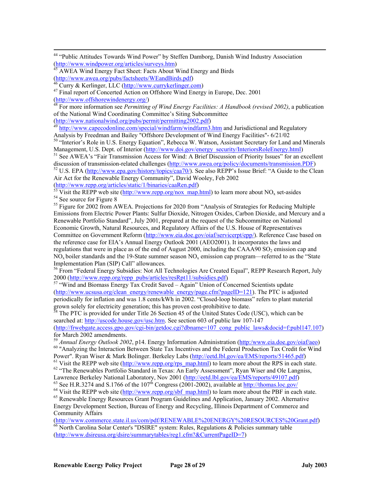<sup>44</sup> "Public Attitudes Towards Wind Power" by Steffen Damborg, Danish Wind Industry Association  $(\frac{http://www.windpower.org/articles/surveys.htm})$ 

<sup>45</sup> AWEA Wind Energy Fact Sheet: Facts About Wind Energy and Birds<br>(http://www.awea.org/pubs/factsheets/WEandBirds.pdf)<br> $\frac{46}{2}$  Curry 8, K., F.

(a) Curry & Kerlinger, LLC (http://www.currykerlinger.com)<br>
<sup>47</sup> Final report of Concerted Action on Offshore Wind Energy in Europe, Dec. 2001

(http://www.offshorewindenergy.org/)<br><sup>48</sup> For more information see *Permitting of Wind Energy Facilities: A Handbook (revised 2002)*, a publication of the National Wind Coordinating Committee's Siting Subcommittee<br>
(http://www.nationalwind.org/pubs/permit/permitting2002.pdf)<br>
<sup>49</sup> ktts://www.nationalwind.org/pubs/permit/permitting2002.pdf)

([http://www.nationalwind.org/pubs/permit/permitting2](http://www.nationalwind.org/pubs/wes/ibrief01.htm)002.pdf)<br><sup>4[9](http://www.nationalwind.org/pubs/wes/ibrief01.htm)</sup> http://www.capecodonline.com/special/windfarm/windfarm3.htm and Jurisdictional and Regulatory Analysis by Freedman and Bailey "Offshore Development of Wind Energy Facilities"- 6/21/02 Analysis by Freedman and Bailey "Offshore Development of Wind Energy Facilities"- 6/21/02<br><sup>50</sup> "Interior's Role in U.S. Energy Equation", Rebecca W. Watson, Assistant Secretary for Land and Minerals

Management, U.S. Dept. of Interior (http://www.doi.gov/energy\_security/InteriorsRoleEnergy.html)

<sup>51</sup> See AWEA's "Fair Transmission Access for Wind: A Brief Discussion of Priority Issues" for an excellent discussion of transmission-related challenges  $(\frac{http://www.awea.org/policy/documents/transmission.PDF})$ discussion of transmission-related challenges (http://www.awea.org/policy/documents/transmission.PDF)<br><sup>52</sup> U.S. EPA (http://www.epa.gov/history/topics/caa70/). See also REPP's Issue Brief: "A Guide to the Clean

Air Act for the Renew able Energy Community", David Wooley, Feb 2002

(http://www.repp.org/articles/static/1/binaries/caaRen.pdf)<br><sup>53</sup> Visit the REPP web site (http://www.repp.org/nox\_map.html) to learn more about NO<sub>x</sub> set-asides <sup>54</sup> See source for Figure 8

<sup>55</sup> Figure for 2002 from AWEA. Projections for 2020 from "Analysis of Strategies for Reducing Multiple Emissions from Electric Power Plants: Sulfur Dioxide, Nitrogen Oxides, Car[bon Dioxide, and Mercury a](http://www.windpower.org/)nd a [Committee on Government Reform \(http://www.eia.doe.gov/oi](http://state-of-coast.noaa.gov/bulletins/html/pop_01/pop.html)af/servicerpt/epp/). Reference Case based on Renewable Portfolio Standard", July 2001, prepared at the request of the Subcommittee on National Economic Growth, Natural Resources, and Regulatory Affairs of the U.S. House of Representatives the reference case fo[r EIA's Annual Energy Outlook 20](http://www.repp.org/rps_map.html)01 (AEO2001). It incorporates the laws and regulations that were in place as of the end of August 2000, including the CAAA90  $SO<sub>2</sub>$  emission cap and  $NO<sub>x</sub>$  boiler standards and the 19-State summer season  $NO<sub>x</sub>$  emission cap program—referred to as the "State" I[mplementation Plan \(SIP\) Call" allowances.](http://www.eia.doe.gov/cneaf/electricity/page/co2_report/co2emiss.pdf) 

2000 (http://www.repp.org/repp\_pubs/articles/resRpt11/subsidies.pdf) <sup>56</sup> From "Federal Energy Subsidies: Not All Technologies Are Created Equal", REPP Research Report, July

([http://www.ucsusa.org/clean\\_energy/r](http://www.awea.org/utilityscale.html)enewable\_energy/page.cfm?pageID=121). The PTC is adjusted  $57$  "Wind and Biomass Energy Tax Credit Saved – Again" Union of Concerned Scientists update periodically for inflation and was 1.8 cents/kWh in 2002. "Closed-loop biomass" refers to plant material grown solely for electricity generation; this has proven cost-prohibitive to date.

 $58$  The PTC is provided for under Title 26 Section 45 of the United States Code (USC), which can be searched at: http://uscode.house.gov/usc.htm. See section 603 of public law 107-147 (http://frwebgate.access.gpo.gov/cgi-bin/getdoc.cgi?dbname=107\_cong\_public\_laws&docid=f:publ147.107)

for March 2002 amendments.<br><sup>59</sup> *Annual Energy Outlook 2002*[, p14. Energy Information Administration \(http:/www.eia.d](http://fti.neep.wisc.edu/FTI/POSTERS/sww_energy_ctr.pdf)oe.gov/oiaf/aeo) <sup>60</sup> "Analyzing the Interaction Between State Tax Incentives and the Federal Production Tax Credit for Wind

Power". Ryan Wiser & Mark Bolinger. Berkeley Labs (http://eetd.lbl.gov/ea/EMS/reports/51465.pdf) Power". Ryan Wiser & Mark Bolinger. Berkeley Labs (http://eetd.lbl.gov/ea/EMS/reports/51465.pdf)<br><sup>61</sup> Visit the REPP web site (http://www.repp.org/rps\_map.html) to learn more about the RPS in each st<br><sup>62</sup> "The Renewables P tate.

<sup>62</sup> "The Renewables Port[folio Standard in Texas: An Early Assessment", Ryan Wise](http://www.eren.doe.gov/power/pdfs/dollarsfromsense.pdf)r and Ole Langniss,

Lawrence Berkeley National Laboratory, Nov 2001 (http://eetd.lbl.gov/ea/EMS/reports/49107.pdf) <sup>63</sup> [See H.R.3274 and S.1766 of the 107](http://www.ucsusa.org/publication.cfm?publicationID=30)<sup>th</sup> [Congress \(2001-20](http://www.ucsusa.org/publication.cfm?publicationID=30)02), available at http://thomas.loc.gov/

 $^{64}$  Visit the REPP web site (http://www.repp.org/sbf\_map.html) to learn more about the PBF in each state.

Energy D[evelopment Section, Bureau of Energy and Recycling, Illinois D](http://www.saveoursound.org/pdfs/wind farm siting.pdf)epartment of Commerce and <sup>65</sup> Renewable Energy Resources Grant Program Guidelines and Application, January 2002. Alternative Community Affairs

(http://www.commer[ce.state.il.us/com/pdf/RENEWABLE%20ENERGY%](http://www.windpower.org/faqs.htm)20RESOURCES%20Grant.pdf)<br><sup>66</sup> North Carolina Solar Center's "DSIRE" system: Rules, Regulations & Policies summary table ( [http://www.dsireusa.org/dsire/summarytables/re](http://www.windpower.org/articles/surveys.htm)g1.cfm?&CurrentPageID=7)